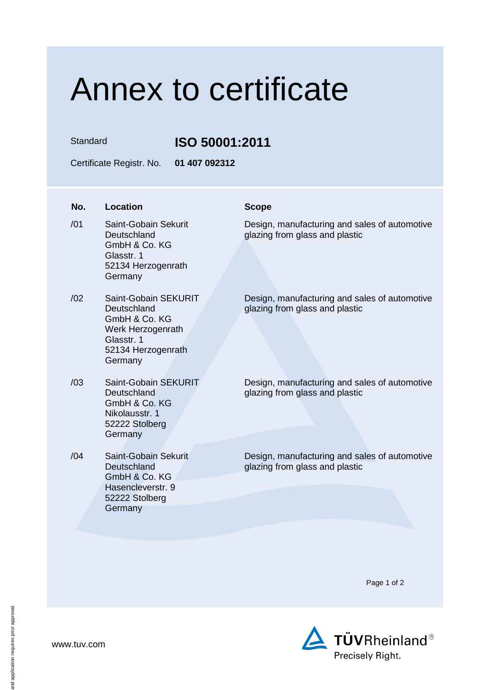## Annex to certificate

Standard **ISO 50001:2011**

Certificate Registr. No. **01 407 092312**

| No. | Location                                                                                                                 | <b>Scope</b>                                                                    |
|-----|--------------------------------------------------------------------------------------------------------------------------|---------------------------------------------------------------------------------|
| /01 | Saint-Gobain Sekurit<br>Deutschland<br>GmbH & Co. KG<br>Glasstr. 1<br>52134 Herzogenrath<br>Germany                      | Design, manufacturing and sales of automotive<br>glazing from glass and plastic |
| /02 | Saint-Gobain SEKURIT<br>Deutschland<br>GmbH & Co. KG<br>Werk Herzogenrath<br>Glasstr. 1<br>52134 Herzogenrath<br>Germany | Design, manufacturing and sales of automotive<br>glazing from glass and plastic |
| /03 | Saint-Gobain SEKURIT<br>Deutschland<br>GmbH & Co. KG<br>Nikolausstr. 1<br>52222 Stolberg<br>Germany                      | Design, manufacturing and sales of automotive<br>glazing from glass and plastic |
| /04 | Saint-Gobain Sekurit<br>Deutschland<br>GmbH & Co. KG<br>Hasencleverstr. 9<br>52222 Stolberg<br>Germany                   | Design, manufacturing and sales of automotive<br>glazing from glass and plastic |

Page 1 of 2